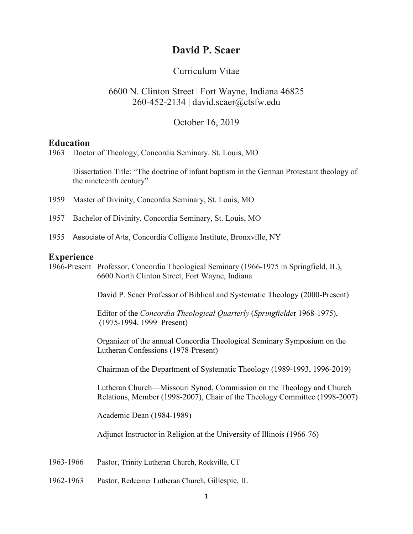# **David P. Scaer**

### Curriculum Vitae

# 6600 N. Clinton Street | Fort Wayne, Indiana 46825 260-452-2134 | david.scaer@ctsfw.edu

October 16, 2019

#### **Education**

1963 Doctor of Theology, Concordia Seminary. St. Louis, MO

Dissertation Title: "The doctrine of infant baptism in the German Protestant theology of the nineteenth century"

- 1959 Master of Divinity, Concordia Seminary, St. Louis, MO
- 1957 Bachelor of Divinity, Concordia Seminary, St. Louis, MO
- 1955 Associate of Arts, Concordia Colligate Institute, Bronxville, NY

#### **Experience**

1966-Present Professor, Concordia Theological Seminary (1966-1975 in Springfield, IL), 6600 North Clinton Street, Fort Wayne, Indiana

David P. Scaer Professor of Biblical and Systematic Theology (2000-Present)

Editor of the *Concordia Theological Quarterly* (*Springfielde*r 1968-1975), (1975-1994. 1999–Present)

Organizer of the annual Concordia Theological Seminary Symposium on the Lutheran Confessions (1978-Present)

Chairman of the Department of Systematic Theology (1989-1993, 1996-2019)

Lutheran Church—Missouri Synod, Commission on the Theology and Church Relations, Member (1998-2007), Chair of the Theology Committee (1998-2007)

Academic Dean (1984-1989)

Adjunct Instructor in Religion at the University of Illinois (1966-76)

- 1963-1966 Pastor, Trinity Lutheran Church, Rockville, CT
- 1962-1963 Pastor, Redeemer Lutheran Church, Gillespie, IL